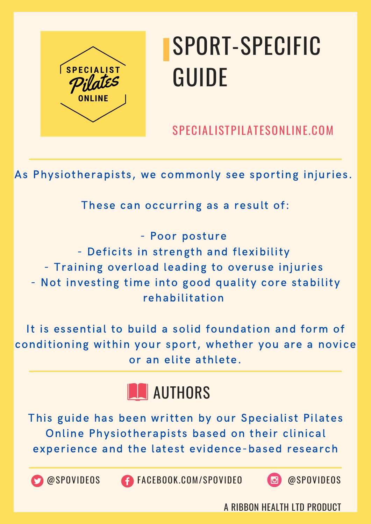

SPECIALISTPILATESONLINE.COM

As Physiotherapists, we commonly see sporting injuries.

These can occurring as a result of:

- Poor posture - Deficits in strength and flexibility - Training overload leading to overuse injuries - Not investing time into good quality core stability rehabilitation

It is essential to build a solid foundation and form of conditioning within your sport, whether you are a novice or an elite athlete.



This guide has been written by our Specialist Pilates Online Physiotherapists based on their clinical experience and the latest evidence-based research

OSPOVIDEOS C FACEBOOK.COM/SPOVIDEO @SPOVIDEOS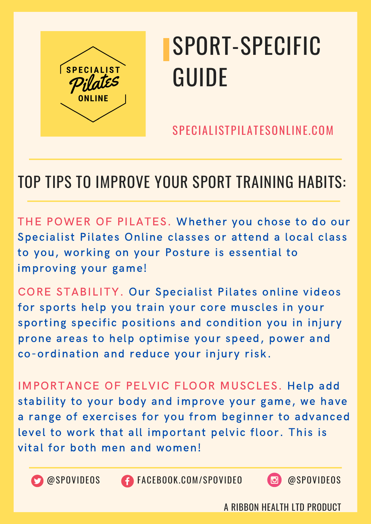

SPECIALISTPILATESONLINE.COM

#### TOP TIPS TO IMPROVE YOUR SPORT TRAINING HABITS:

THE POWER OF PILATES. Whether you chose to do our Specialist Pilates Online classes or attend a local class to you, working on your Posture is essential to improving your game!

CORE STABILITY. Our Specialist Pilates online videos for sports help you train your core muscles in your sporting specific positions and condition you in injury prone areas to help optimise your speed, power and co-ordination and reduce your injury risk.

IMPORTANCE OF PELVIC FLOOR MUSCLES. Help add stability to your body and improve your game, we have a range of exercises for you from beginner to advanced level to work that all important pelvic floor. This is vital for both men and women!



@SPOVIDEOS FACEBOOK.COM/SPOVIDEO @SPOVIDEOS

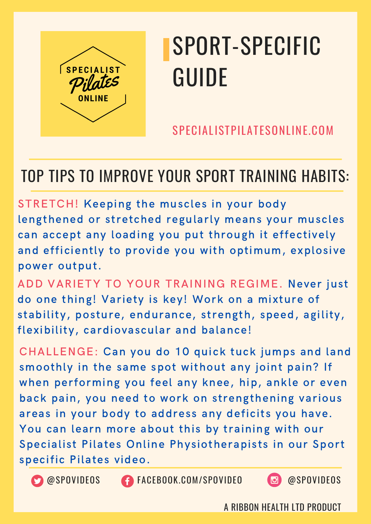

SPECIALISTPILATESONLINE.COM

#### TOP TIPS TO IMPROVE YOUR SPORT TRAINING HABITS:

STRETCH! Keeping the muscles in your body lengthened or stretched regularly means your muscles can accept any loading you put through it effectively and efficiently to provide you with optimum, explosive power output.

ADD VARIETY TO YOUR TRAINING REGIME. Never just do one thing! Variety is key! Work on a mixture of stability, posture, endurance, strength, speed, agility, flexibility, cardiovascular and balance!

CHALLENGE: Can you do 10 quick tuck jumps and land smoothly in the same spot without any joint pain? If when performing you feel any knee, hip, ankle or even back pain, you need to work on strengthening various areas in your body to address any deficits you have. You can learn more about this by training with our Specialist Pilates Online Physiotherapists in our Sport specific Pilates video.



@SPOVIDEOS FACEBOOK.COM/SPOVIDEO @SPOVIDEOS

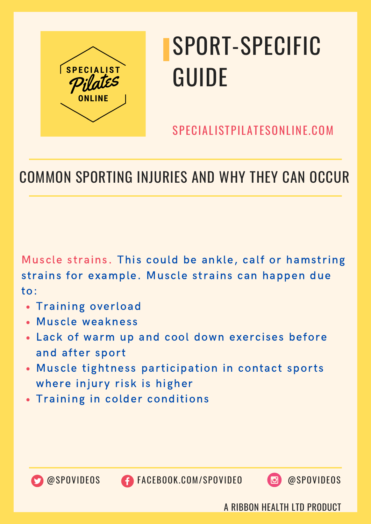

SPECIALISTPILATESONLINE.COM

#### COMMON SPORTING INJURIES AND WHY THEY CAN OCCUR

Muscle strains. This could be ankle, calf or hamstring strains for example. Muscle strains can happen due to:

- **.** Training overload
- Muscle weakness
- Lack of warm up and cool down exercises before and after sport
- Muscle tightness participation in contact sports where injury risk is higher
- Training in colder conditions



@SPOVIDEOS FACEBOOK.COM/SPOVIDEO @SPOVIDEOS

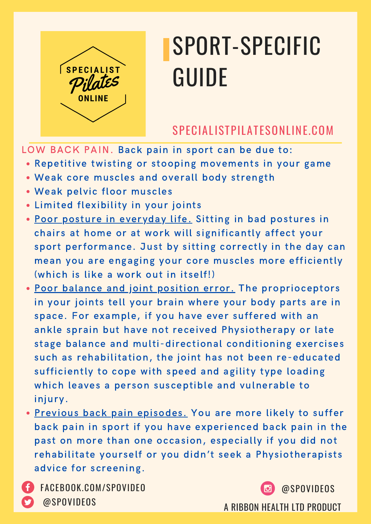

#### SPECIALISTPILATESONLINE.COM

LOW BACK PAIN. Back pain in sport can be due to:

- Repetitive twisting or stooping movements in your game
- Weak core muscles and overall body strength
- Weak pelvic floor muscles
- Limited flexibility in your joints
- Poor posture in everyday life. Sitting in bad postures in chairs at home or at work will significantly affect your sport performance. Just by sitting correctly in the day can mean you are engaging your core muscles more efficiently (which is like a work out in itself!)
- Poor balance and joint position error. The proprioceptors in your joints tell your brain where your body parts are in space. For example, if you have ever suffered with an ankle sprain but have not received Physiotherapy or late stage balance and multi-directional conditioning exercises such as rehabilitation, the joint has not been re-educated sufficiently to cope with speed and agility type loading which leaves a person susceptible and vulnerable to injury.
- . Previous back pain episodes. You are more likely to suffer back pain in sport if you have experienced back pain in the past on more than one occasion, especially if you did not rehabilitate yourself or you didn't seek a Physiotherapists advice for screening.

<sup>A</sup> RIBBON HEALTH LTD PRODUCT @SPOVIDEOS FACEBOOK.COM/SPOVIDEO @SPOVIDEOS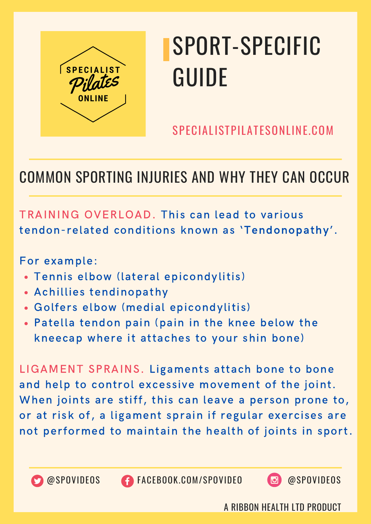

SPECIALISTPILATESONLINE.COM

#### COMMON SPORTING INJURIES AND WHY THEY CAN OCCUR

TRAINING OVERLOAD. This can lead to various tendon-related conditions known as 'Tendonopathy'.

For example:

- Tennis elbow (lateral epicondylitis)
- Achillies tendinopathy
- Golfers elbow (medial epicondylitis)
- Patella tendon pain (pain in the knee below the kneecap where it attaches to your shin bone)

LIGAMENT SPRAINS. Ligaments attach bone to bone and help to control excessive movement of the joint. When joints are stiff, this can leave a person prone to, or at risk of, a ligament sprain if regular exercises are not performed to maintain the health of joints in sport.





@SPOVIDEOS FACEBOOK.COM/SPOVIDEO @SPOVIDEOS

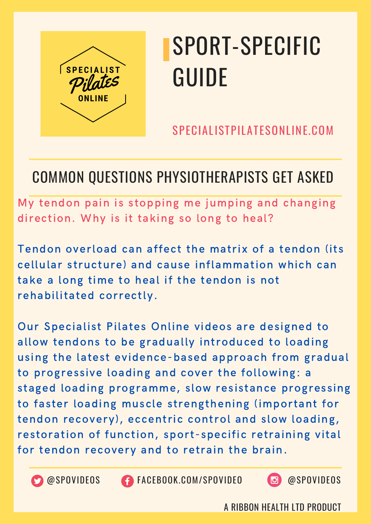

SPECIALISTPILATESONLINE.COM

#### COMMON QUESTIONS PHYSIOTHERAPISTS GET ASKED

My tendon pain is stopping me jumping and changing direction. Why is it taking so long to heal?

Tendon overload can affect the matrix of a tendon (its cellular structure) and cause inflammation which can take a long time to heal if the tendon is not rehabilitated correctly.

Our Specialist Pilates Online videos are designed to allow tendons to be gradually introduced to loading using the latest evidence-based approach from gradual to progressive loading and cover the following: a staged loading programme, slow resistance progressing to faster loading muscle strengthening (important for tendon recovery), eccentric control and slow loading, restoration of function, sport-specific retraining vital for tendon recovery and to retrain the brain.



@SPOVIDEOS FACEBOOK.COM/SPOVIDEO @SPOVIDEOS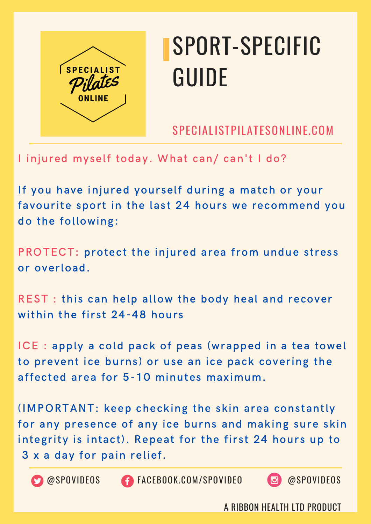

SPECIALISTPILATESONLINE.COM

I injured myself today. What can/ can't I do?

If you have injured yourself during a match or your favourite sport in the last 24 hours we recommend you do the following:

PROTECT: protect the injured area from undue stress or overload.

REST : this can help allow the body heal and recover within the first 24-48 hours

ICE : apply a cold pack of peas (wrapped in a tea towel to prevent ice burns) or use an ice pack covering the affected area for 5-10 minutes maximum.

(IMPORTANT: keep checking the skin area constantly for any presence of any ice burns and making sure skin integrity is intact). Repeat for the first 24 hours up to 3 x a day for pain relief.



**CO** @SPOVIDEOS **CONGESCITE CON/SPOVIDEO @SPOVIDEOS** 

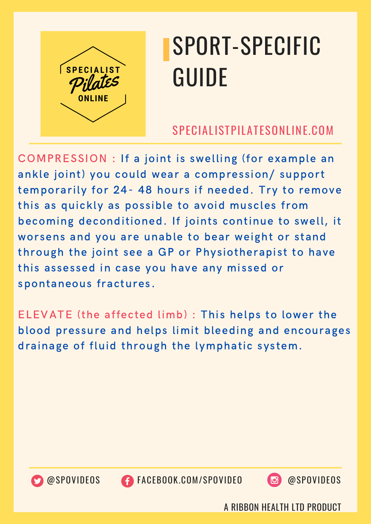

#### SPECIALISTPILATESONLINE.COM

COMPRESSION : If a joint is swelling (for example an ankle joint) you could wear a compression/ support temporarily for 24- 48 hours if needed. Try to remove this as quickly as possible to avoid muscles from becoming deconditioned. If joints continue to swell, it worsens and you are unable to bear weight or stand through the joint see a GP or Physiotherapist to have this assessed in case you have any missed or spontaneous fractures.

ELEVATE (the affected limb) : This helps to lower the blood pressure and helps limit bleeding and encourages drainage of fluid through the lymphatic system.



@SPOVIDEOS FACEBOOK.COM/SPOVIDEO @SPOVIDEOS

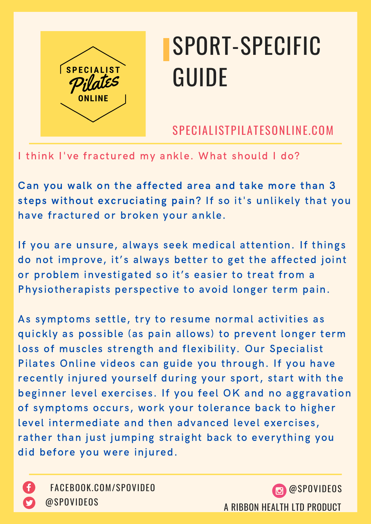

SPECIALISTPILATESONLINE.COM

I think I've fractured my ankle. What should I do?

Can you walk on the affected area and take more than 3 steps without excruciating pain? If so it's unlikely that you have fractured or broken your ankle.

If you are unsure, always seek medical attention. If things do not improve, it's always better to get the affected joint or problem investigated so it's easier to treat from a Physiotherapists perspective to avoid longer term pain.

As symptoms settle, try to resume normal activities as quickly as possible (as pain allows) to prevent longer term loss of muscles strength and flexibility. Our Specialist Pilates Online videos can guide you through. If you have recently injured yourself during your sport, start with the beginner level exercises. If you feel OK and no aggravation of symptoms occurs, work your tolerance back to higher level intermediate and then advanced level exercises, rather than just jumping straight back to everything you did before you were injured.



FACEBOOK.COM/SPOVIDEO @SPOVIDEOS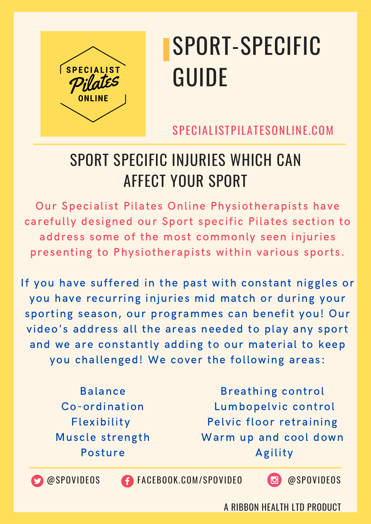

SPECIALISTPILATESONLINE.COM

#### SPORT SPECIFIC INJURIES WHICH CAN AFFECT YOUR SPORT

Our Specialist Pilates Online Physiotherapists have carefully designed our Sport specific Pilates section to address some of the most commonly seen injuries presenting to Physiotherapists within various sports.

If you have suffered in the past with constant niggles or you have recurring injuries mid match or during your sporting season, our programmes can benefit you! Our video's address all the areas needed to play any sport and we are constantly adding to our material to keep you challenged! We cover the following areas:

> Balance Co-ordination Flexibility Muscle strength Posture

Breathing control Lumbopelvic control Pelvic floor retraining Warm up and cool down Agility

@SPOVIDEOS fACEBOOK.COM/SPOVIDEO @SPOVIDEOS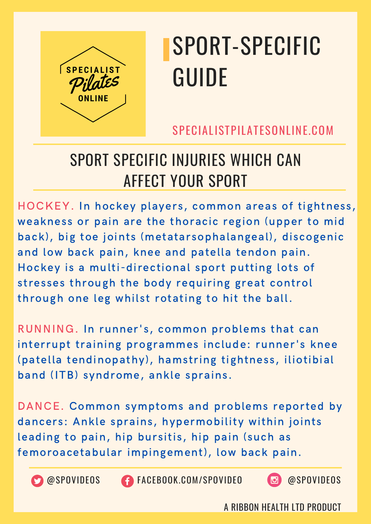

SPECIALISTPILATESONLINE.COM

#### SPORT SPECIFIC INJURIES WHICH CAN AFFECT YOUR SPORT

HOCKEY. In hockey players, common areas of tightness, weakness or pain are the thoracic region (upper to mid back), big toe joints (metatarsophalangeal), discogenic and low back pain, knee and patella tendon pain. Hockey is a multi-directional sport putting lots of stresses through the body requiring great control through one leg whilst rotating to hit the ball.

RUNNING. In runner's, common problems that can interrupt training programmes include: runner's knee (patella tendinopathy), hamstring tightness, iliotibial band (ITB) syndrome, ankle sprains.

DANCE. Common symptoms and problems reported by dancers: Ankle sprains, hypermobility within joints leading to pain, hip bursitis, hip pain (such as femoroacetabular impingement), low back pain.



@SPOVIDEOS FACEBOOK.COM/SPOVIDEO @SPOVIDEOS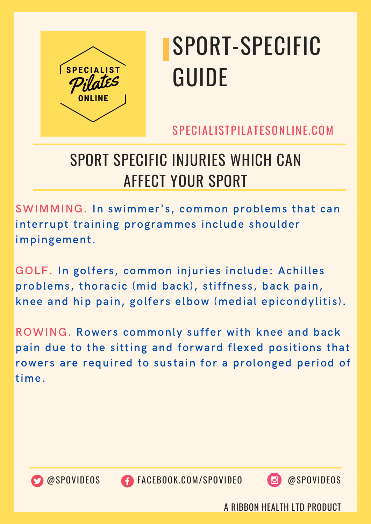

SPECIALISTPILATESONLINE.COM

#### SPORT SPECIFIC INJURIES WHICH CAN AFFECT YOUR SPORT

SWIMMING. In swimmer's, common problems that can interrupt training programmes include shoulder impingement.

GOLF. In golfers, common injuries include: Achilles problems, thoracic (mid back), stiffness, back pain, knee and hip pain, golfers elbow (medial epicondylitis).

ROWING. Rowers commonly suffer with knee and back pain due to the sitting and forward flexed positions that rowers are required to sustain for a prolonged period of time.



@SPOVIDEOS FACEBOOK.COM/SPOVIDEO @SPOVIDEOS

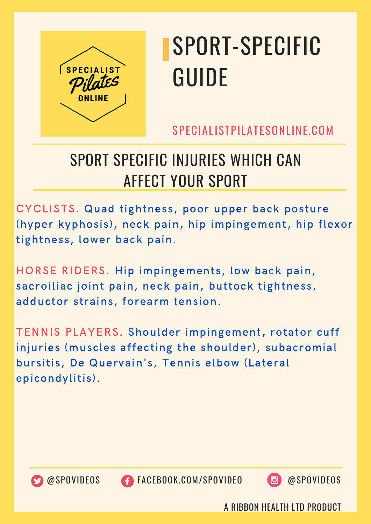

SPECIALISTPILATESONLINE.COM

#### SPORT SPECIFIC INJURIES WHICH CAN AFFECT YOUR SPORT

CYCLISTS. Quad tightness, poor upper back posture (hyper kyphosis), neck pain, hip impingement, hip flexor tightness, lower back pain.

HORSE RIDERS. Hip impingements, low back pain, sacroiliac joint pain, neck pain, buttock tightness, adductor strains, forearm tension.

TENNIS PLAYERS. Shoulder impingement, rotator cuff injuries (muscles affecting the shoulder), subacromial bursitis, De Quervain's, Tennis elbow (Lateral epicondylitis).



@SPOVIDEOS FACEBOOK.COM/SPOVIDEO @SPOVIDEOS